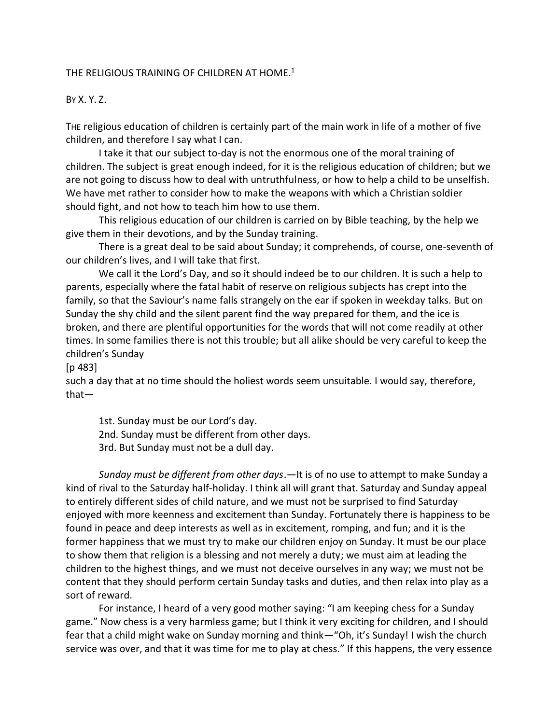## THE RELIGIOUS TRAINING OF CHILDREN AT HOME. $^1$

#### BY X. Y. Z.

THE religious education of children is certainly part of the main work in life of a mother of five children, and therefore I say what I can.

I take it that our subject to-day is not the enormous one of the moral training of children. The subject is great enough indeed, for it is the religious education of children; but we are not going to discuss how to deal with untruthfulness, or how to help a child to be unselfish. We have met rather to consider how to make the weapons with which a Christian soldier should fight, and not how to teach him how to use them.

This religious education of our children is carried on by Bible teaching, by the help we give them in their devotions, and by the Sunday training.

There is a great deal to be said about Sunday; it comprehends, of course, one-seventh of our children's lives, and I will take that first.

We call it the Lord's Day, and so it should indeed be to our children. It is such a help to parents, especially where the fatal habit of reserve on religious subjects has crept into the family, so that the Saviour's name falls strangely on the ear if spoken in weekday talks. But on Sunday the shy child and the silent parent find the way prepared for them, and the ice is broken, and there are plentiful opportunities for the words that will not come readily at other times. In some families there is not this trouble; but all alike should be very careful to keep the children's Sunday

[p 483]

such a day that at no time should the holiest words seem unsuitable. I would say, therefore, that—

1st. Sunday must be our Lord's day. 2nd. Sunday must be different from other days. 3rd. But Sunday must not be a dull day.

*Sunday must be different from other days*.—It is of no use to attempt to make Sunday a kind of rival to the Saturday half-holiday. I think all will grant that. Saturday and Sunday appeal to entirely different sides of child nature, and we must not be surprised to find Saturday enjoyed with more keenness and excitement than Sunday. Fortunately there is happiness to be found in peace and deep interests as well as in excitement, romping, and fun; and it is the former happiness that we must try to make our children enjoy on Sunday. It must be our place to show them that religion is a blessing and not merely a duty; we must aim at leading the children to the highest things, and we must not deceive ourselves in any way; we must not be content that they should perform certain Sunday tasks and duties, and then relax into play as a sort of reward.

For instance, I heard of a very good mother saying: "I am keeping chess for a Sunday game." Now chess is a very harmless game; but I think it very exciting for children, and I should fear that a child might wake on Sunday morning and think—"Oh, it's Sunday! I wish the church service was over, and that it was time for me to play at chess." If this happens, the very essence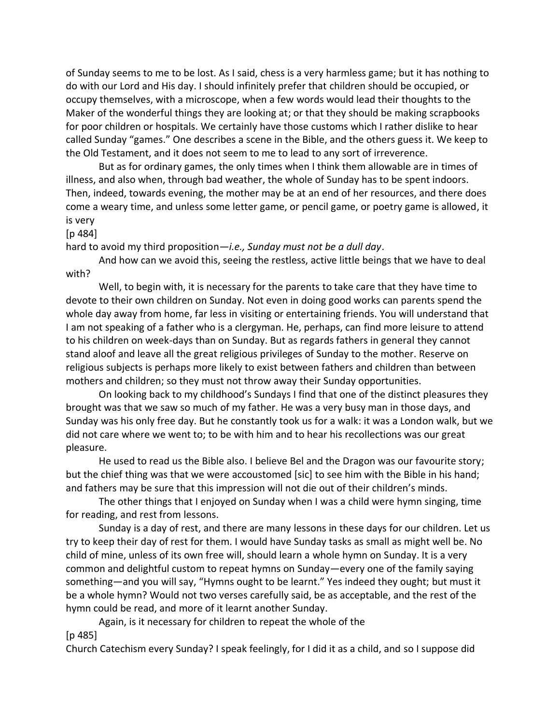of Sunday seems to me to be lost. As I said, chess is a very harmless game; but it has nothing to do with our Lord and His day. I should infinitely prefer that children should be occupied, or occupy themselves, with a microscope, when a few words would lead their thoughts to the Maker of the wonderful things they are looking at; or that they should be making scrapbooks for poor children or hospitals. We certainly have those customs which I rather dislike to hear called Sunday "games." One describes a scene in the Bible, and the others guess it. We keep to the Old Testament, and it does not seem to me to lead to any sort of irreverence.

But as for ordinary games, the only times when I think them allowable are in times of illness, and also when, through bad weather, the whole of Sunday has to be spent indoors. Then, indeed, towards evening, the mother may be at an end of her resources, and there does come a weary time, and unless some letter game, or pencil game, or poetry game is allowed, it is very

[p 484]

hard to avoid my third proposition—*i.e., Sunday must not be a dull day*.

And how can we avoid this, seeing the restless, active little beings that we have to deal with?

Well, to begin with, it is necessary for the parents to take care that they have time to devote to their own children on Sunday. Not even in doing good works can parents spend the whole day away from home, far less in visiting or entertaining friends. You will understand that I am not speaking of a father who is a clergyman. He, perhaps, can find more leisure to attend to his children on week-days than on Sunday. But as regards fathers in general they cannot stand aloof and leave all the great religious privileges of Sunday to the mother. Reserve on religious subjects is perhaps more likely to exist between fathers and children than between mothers and children; so they must not throw away their Sunday opportunities.

On looking back to my childhood's Sundays I find that one of the distinct pleasures they brought was that we saw so much of my father. He was a very busy man in those days, and Sunday was his only free day. But he constantly took us for a walk: it was a London walk, but we did not care where we went to; to be with him and to hear his recollections was our great pleasure.

He used to read us the Bible also. I believe Bel and the Dragon was our favourite story; but the chief thing was that we were accoustomed [sic] to see him with the Bible in his hand; and fathers may be sure that this impression will not die out of their children's minds.

The other things that I enjoyed on Sunday when I was a child were hymn singing, time for reading, and rest from lessons.

Sunday is a day of rest, and there are many lessons in these days for our children. Let us try to keep their day of rest for them. I would have Sunday tasks as small as might well be. No child of mine, unless of its own free will, should learn a whole hymn on Sunday. It is a very common and delightful custom to repeat hymns on Sunday—every one of the family saying something—and you will say, "Hymns ought to be learnt." Yes indeed they ought; but must it be a whole hymn? Would not two verses carefully said, be as acceptable, and the rest of the hymn could be read, and more of it learnt another Sunday.

Again, is it necessary for children to repeat the whole of the

[p 485]

Church Catechism every Sunday? I speak feelingly, for I did it as a child, and so I suppose did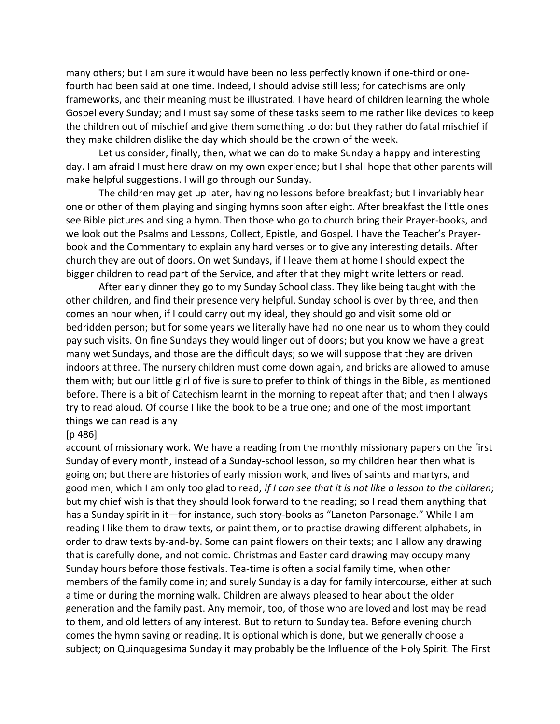many others; but I am sure it would have been no less perfectly known if one-third or onefourth had been said at one time. Indeed, I should advise still less; for catechisms are only frameworks, and their meaning must be illustrated. I have heard of children learning the whole Gospel every Sunday; and I must say some of these tasks seem to me rather like devices to keep the children out of mischief and give them something to do: but they rather do fatal mischief if they make children dislike the day which should be the crown of the week.

Let us consider, finally, then, what we can do to make Sunday a happy and interesting day. I am afraid I must here draw on my own experience; but I shall hope that other parents will make helpful suggestions. I will go through our Sunday.

The children may get up later, having no lessons before breakfast; but I invariably hear one or other of them playing and singing hymns soon after eight. After breakfast the little ones see Bible pictures and sing a hymn. Then those who go to church bring their Prayer-books, and we look out the Psalms and Lessons, Collect, Epistle, and Gospel. I have the Teacher's Prayerbook and the Commentary to explain any hard verses or to give any interesting details. After church they are out of doors. On wet Sundays, if I leave them at home I should expect the bigger children to read part of the Service, and after that they might write letters or read.

After early dinner they go to my Sunday School class. They like being taught with the other children, and find their presence very helpful. Sunday school is over by three, and then comes an hour when, if I could carry out my ideal, they should go and visit some old or bedridden person; but for some years we literally have had no one near us to whom they could pay such visits. On fine Sundays they would linger out of doors; but you know we have a great many wet Sundays, and those are the difficult days; so we will suppose that they are driven indoors at three. The nursery children must come down again, and bricks are allowed to amuse them with; but our little girl of five is sure to prefer to think of things in the Bible, as mentioned before. There is a bit of Catechism learnt in the morning to repeat after that; and then I always try to read aloud. Of course I like the book to be a true one; and one of the most important things we can read is any

### [p 486]

account of missionary work. We have a reading from the monthly missionary papers on the first Sunday of every month, instead of a Sunday-school lesson, so my children hear then what is going on; but there are histories of early mission work, and lives of saints and martyrs, and good men, which I am only too glad to read, *if I can see that it is not like a lesson to the children*; but my chief wish is that they should look forward to the reading; so I read them anything that has a Sunday spirit in it—for instance, such story-books as "Laneton Parsonage." While I am reading I like them to draw texts, or paint them, or to practise drawing different alphabets, in order to draw texts by-and-by. Some can paint flowers on their texts; and I allow any drawing that is carefully done, and not comic. Christmas and Easter card drawing may occupy many Sunday hours before those festivals. Tea-time is often a social family time, when other members of the family come in; and surely Sunday is a day for family intercourse, either at such a time or during the morning walk. Children are always pleased to hear about the older generation and the family past. Any memoir, too, of those who are loved and lost may be read to them, and old letters of any interest. But to return to Sunday tea. Before evening church comes the hymn saying or reading. It is optional which is done, but we generally choose a subject; on Quinquagesima Sunday it may probably be the Influence of the Holy Spirit. The First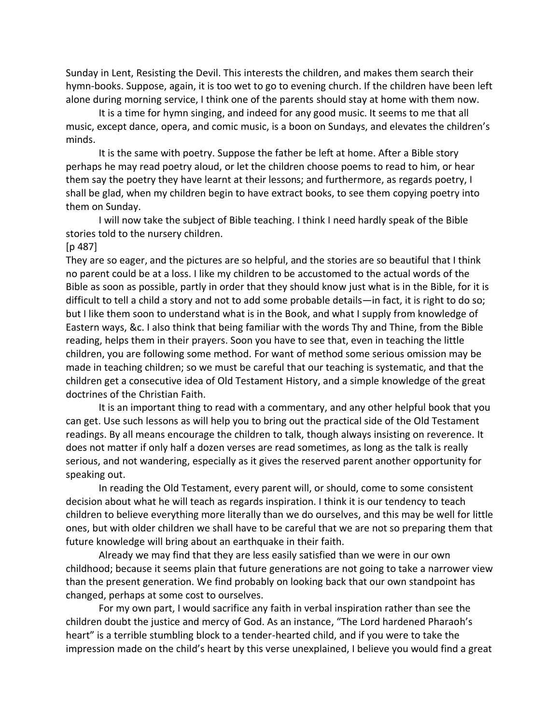Sunday in Lent, Resisting the Devil. This interests the children, and makes them search their hymn-books. Suppose, again, it is too wet to go to evening church. If the children have been left alone during morning service, I think one of the parents should stay at home with them now.

It is a time for hymn singing, and indeed for any good music. It seems to me that all music, except dance, opera, and comic music, is a boon on Sundays, and elevates the children's minds.

It is the same with poetry. Suppose the father be left at home. After a Bible story perhaps he may read poetry aloud, or let the children choose poems to read to him, or hear them say the poetry they have learnt at their lessons; and furthermore, as regards poetry, I shall be glad, when my children begin to have extract books, to see them copying poetry into them on Sunday.

I will now take the subject of Bible teaching. I think I need hardly speak of the Bible stories told to the nursery children.

#### [p 487]

They are so eager, and the pictures are so helpful, and the stories are so beautiful that I think no parent could be at a loss. I like my children to be accustomed to the actual words of the Bible as soon as possible, partly in order that they should know just what is in the Bible, for it is difficult to tell a child a story and not to add some probable details—in fact, it is right to do so; but I like them soon to understand what is in the Book, and what I supply from knowledge of Eastern ways, &c. I also think that being familiar with the words Thy and Thine, from the Bible reading, helps them in their prayers. Soon you have to see that, even in teaching the little children, you are following some method. For want of method some serious omission may be made in teaching children; so we must be careful that our teaching is systematic, and that the children get a consecutive idea of Old Testament History, and a simple knowledge of the great doctrines of the Christian Faith.

It is an important thing to read with a commentary, and any other helpful book that you can get. Use such lessons as will help you to bring out the practical side of the Old Testament readings. By all means encourage the children to talk, though always insisting on reverence. It does not matter if only half a dozen verses are read sometimes, as long as the talk is really serious, and not wandering, especially as it gives the reserved parent another opportunity for speaking out.

In reading the Old Testament, every parent will, or should, come to some consistent decision about what he will teach as regards inspiration. I think it is our tendency to teach children to believe everything more literally than we do ourselves, and this may be well for little ones, but with older children we shall have to be careful that we are not so preparing them that future knowledge will bring about an earthquake in their faith.

Already we may find that they are less easily satisfied than we were in our own childhood; because it seems plain that future generations are not going to take a narrower view than the present generation. We find probably on looking back that our own standpoint has changed, perhaps at some cost to ourselves.

For my own part, I would sacrifice any faith in verbal inspiration rather than see the children doubt the justice and mercy of God. As an instance, "The Lord hardened Pharaoh's heart" is a terrible stumbling block to a tender-hearted child, and if you were to take the impression made on the child's heart by this verse unexplained, I believe you would find a great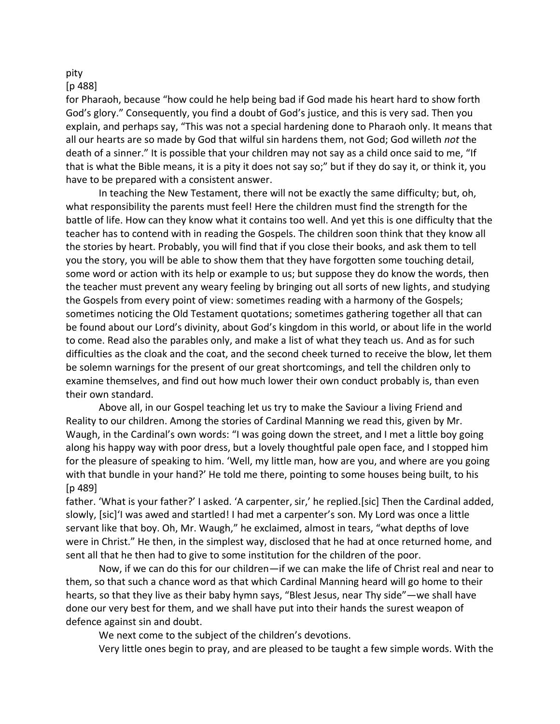# pity

## [p 488]

for Pharaoh, because "how could he help being bad if God made his heart hard to show forth God's glory." Consequently, you find a doubt of God's justice, and this is very sad. Then you explain, and perhaps say, "This was not a special hardening done to Pharaoh only. It means that all our hearts are so made by God that wilful sin hardens them, not God; God willeth *not* the death of a sinner." It is possible that your children may not say as a child once said to me, "If that is what the Bible means, it is a pity it does not say so;" but if they do say it, or think it, you have to be prepared with a consistent answer.

In teaching the New Testament, there will not be exactly the same difficulty; but, oh, what responsibility the parents must feel! Here the children must find the strength for the battle of life. How can they know what it contains too well. And yet this is one difficulty that the teacher has to contend with in reading the Gospels. The children soon think that they know all the stories by heart. Probably, you will find that if you close their books, and ask them to tell you the story, you will be able to show them that they have forgotten some touching detail, some word or action with its help or example to us; but suppose they do know the words, then the teacher must prevent any weary feeling by bringing out all sorts of new lights, and studying the Gospels from every point of view: sometimes reading with a harmony of the Gospels; sometimes noticing the Old Testament quotations; sometimes gathering together all that can be found about our Lord's divinity, about God's kingdom in this world, or about life in the world to come. Read also the parables only, and make a list of what they teach us. And as for such difficulties as the cloak and the coat, and the second cheek turned to receive the blow, let them be solemn warnings for the present of our great shortcomings, and tell the children only to examine themselves, and find out how much lower their own conduct probably is, than even their own standard.

Above all, in our Gospel teaching let us try to make the Saviour a living Friend and Reality to our children. Among the stories of Cardinal Manning we read this, given by Mr. Waugh, in the Cardinal's own words: "I was going down the street, and I met a little boy going along his happy way with poor dress, but a lovely thoughtful pale open face, and I stopped him for the pleasure of speaking to him. 'Well, my little man, how are you, and where are you going with that bundle in your hand?' He told me there, pointing to some houses being built, to his [p 489]

father. 'What is your father?' I asked. 'A carpenter, sir,' he replied.[sic] Then the Cardinal added, slowly, [sic]'I was awed and startled! I had met a carpenter's son. My Lord was once a little servant like that boy. Oh, Mr. Waugh," he exclaimed, almost in tears, "what depths of love were in Christ." He then, in the simplest way, disclosed that he had at once returned home, and sent all that he then had to give to some institution for the children of the poor.

Now, if we can do this for our children—if we can make the life of Christ real and near to them, so that such a chance word as that which Cardinal Manning heard will go home to their hearts, so that they live as their baby hymn says, "Blest Jesus, near Thy side"—we shall have done our very best for them, and we shall have put into their hands the surest weapon of defence against sin and doubt.

We next come to the subject of the children's devotions.

Very little ones begin to pray, and are pleased to be taught a few simple words. With the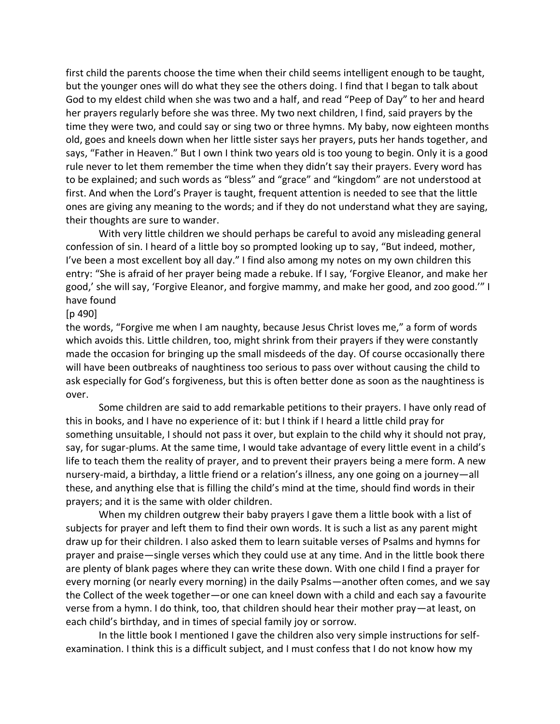first child the parents choose the time when their child seems intelligent enough to be taught, but the younger ones will do what they see the others doing. I find that I began to talk about God to my eldest child when she was two and a half, and read "Peep of Day" to her and heard her prayers regularly before she was three. My two next children, I find, said prayers by the time they were two, and could say or sing two or three hymns. My baby, now eighteen months old, goes and kneels down when her little sister says her prayers, puts her hands together, and says, "Father in Heaven." But I own I think two years old is too young to begin. Only it is a good rule never to let them remember the time when they didn't say their prayers. Every word has to be explained; and such words as "bless" and "grace" and "kingdom" are not understood at first. And when the Lord's Prayer is taught, frequent attention is needed to see that the little ones are giving any meaning to the words; and if they do not understand what they are saying, their thoughts are sure to wander.

With very little children we should perhaps be careful to avoid any misleading general confession of sin. I heard of a little boy so prompted looking up to say, "But indeed, mother, I've been a most excellent boy all day." I find also among my notes on my own children this entry: "She is afraid of her prayer being made a rebuke. If I say, 'Forgive Eleanor, and make her good,' she will say, 'Forgive Eleanor, and forgive mammy, and make her good, and zoo good.'" I have found

#### [p 490]

the words, "Forgive me when I am naughty, because Jesus Christ loves me," a form of words which avoids this. Little children, too, might shrink from their prayers if they were constantly made the occasion for bringing up the small misdeeds of the day. Of course occasionally there will have been outbreaks of naughtiness too serious to pass over without causing the child to ask especially for God's forgiveness, but this is often better done as soon as the naughtiness is over.

Some children are said to add remarkable petitions to their prayers. I have only read of this in books, and I have no experience of it: but I think if I heard a little child pray for something unsuitable, I should not pass it over, but explain to the child why it should not pray, say, for sugar-plums. At the same time, I would take advantage of every little event in a child's life to teach them the reality of prayer, and to prevent their prayers being a mere form. A new nursery-maid, a birthday, a little friend or a relation's illness, any one going on a journey—all these, and anything else that is filling the child's mind at the time, should find words in their prayers; and it is the same with older children.

When my children outgrew their baby prayers I gave them a little book with a list of subjects for prayer and left them to find their own words. It is such a list as any parent might draw up for their children. I also asked them to learn suitable verses of Psalms and hymns for prayer and praise—single verses which they could use at any time. And in the little book there are plenty of blank pages where they can write these down. With one child I find a prayer for every morning (or nearly every morning) in the daily Psalms—another often comes, and we say the Collect of the week together—or one can kneel down with a child and each say a favourite verse from a hymn. I do think, too, that children should hear their mother pray—at least, on each child's birthday, and in times of special family joy or sorrow.

In the little book I mentioned I gave the children also very simple instructions for selfexamination. I think this is a difficult subject, and I must confess that I do not know how my